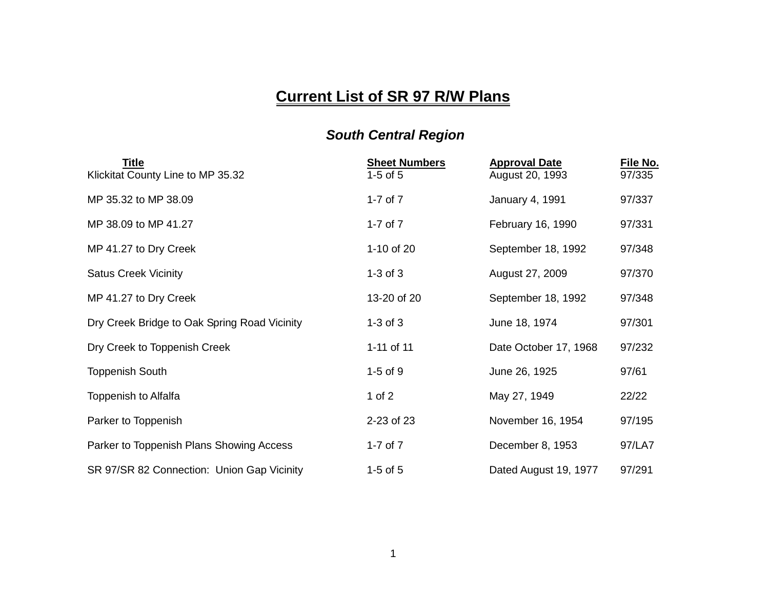## **Current List of SR 97 R/W Plans**

## *South Central Region*

| Title<br>Klickitat County Line to MP 35.32   | <b>Sheet Numbers</b><br>$1-5$ of $5$ | <b>Approval Date</b><br>August 20, 1993 | <u>File No.</u><br>97/335 |
|----------------------------------------------|--------------------------------------|-----------------------------------------|---------------------------|
| MP 35.32 to MP 38.09                         | 1-7 of $7$                           | January 4, 1991                         | 97/337                    |
| MP 38.09 to MP 41.27                         | 1-7 of $7$                           | February 16, 1990                       | 97/331                    |
| MP 41.27 to Dry Creek                        | 1-10 of 20                           | September 18, 1992                      | 97/348                    |
| <b>Satus Creek Vicinity</b>                  | $1-3$ of $3$                         | August 27, 2009                         | 97/370                    |
| MP 41.27 to Dry Creek                        | 13-20 of 20                          | September 18, 1992                      | 97/348                    |
| Dry Creek Bridge to Oak Spring Road Vicinity | $1-3$ of $3$                         | June 18, 1974                           | 97/301                    |
| Dry Creek to Toppenish Creek                 | 1-11 of 11                           | Date October 17, 1968                   | 97/232                    |
| <b>Toppenish South</b>                       | $1-5$ of $9$                         | June 26, 1925                           | 97/61                     |
| Toppenish to Alfalfa                         | 1 of $2$                             | May 27, 1949                            | 22/22                     |
| Parker to Toppenish                          | 2-23 of 23                           | November 16, 1954                       | 97/195                    |
| Parker to Toppenish Plans Showing Access     | 1-7 of $7$                           | December 8, 1953                        | 97/LA7                    |
| SR 97/SR 82 Connection: Union Gap Vicinity   | $1-5$ of $5$                         | Dated August 19, 1977                   | 97/291                    |